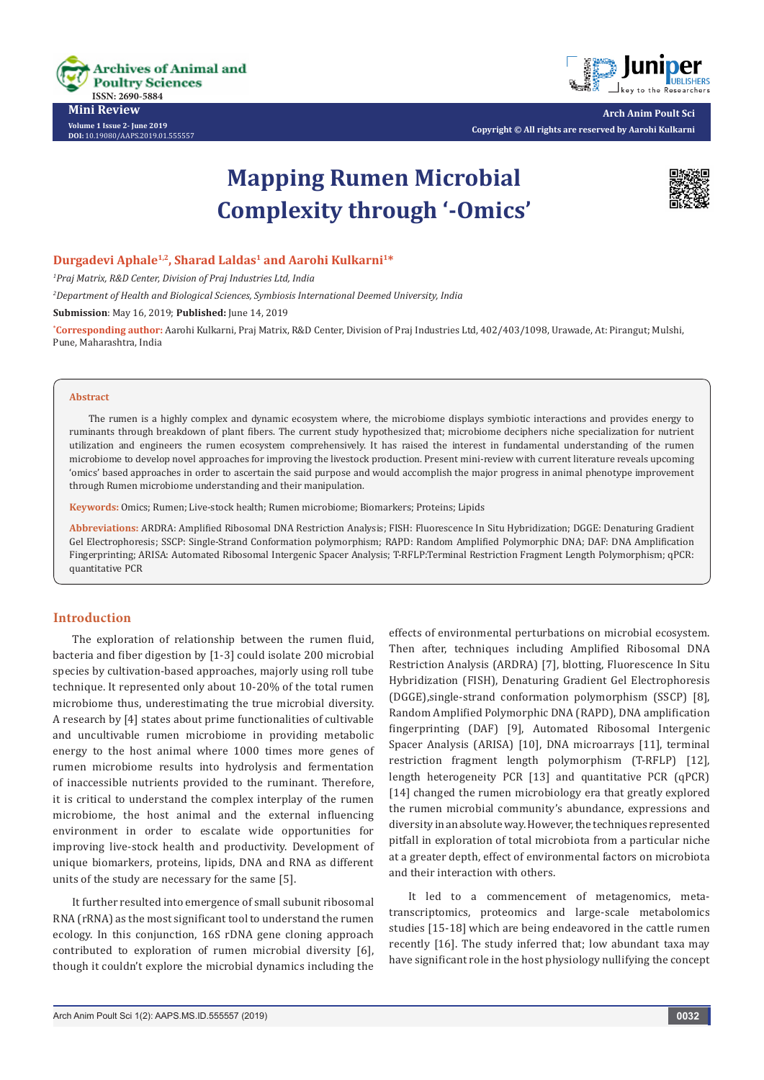

**Mini Review Volume 1 Issue 2- June 2019 DOI:** [10.19080/AAPS.2019.01.555557](https://dx.doi.org/10.19080/AAPS.2019.01.555557
)



**Arch Anim Poult Sci Copyright © All rights are reserved by Aarohi Kulkarni**

# **Mapping Rumen Microbial Complexity through '-Omics'**



## **Durgadevi Aphale1,2, Sharad Laldas1 and Aarohi Kulkarni1\***

*1 Praj Matrix, R&D Center, Division of Praj Industries Ltd, India*

*2 Department of Health and Biological Sciences, Symbiosis International Deemed University, India*

**Submission**: May 16, 2019; **Published:** June 14, 2019

**\* Corresponding author:** Aarohi Kulkarni, Praj Matrix, R&D Center, Division of Praj Industries Ltd, 402/403/1098, Urawade, At: Pirangut; Mulshi, Pune, Maharashtra, India

#### **Abstract**

The rumen is a highly complex and dynamic ecosystem where, the microbiome displays symbiotic interactions and provides energy to ruminants through breakdown of plant fibers. The current study hypothesized that; microbiome deciphers niche specialization for nutrient utilization and engineers the rumen ecosystem comprehensively. It has raised the interest in fundamental understanding of the rumen microbiome to develop novel approaches for improving the livestock production. Present mini-review with current literature reveals upcoming 'omics' based approaches in order to ascertain the said purpose and would accomplish the major progress in animal phenotype improvement through Rumen microbiome understanding and their manipulation.

**Keywords:** Omics; Rumen; Live-stock health; Rumen microbiome; Biomarkers; Proteins; Lipids

**Abbreviations:** ARDRA: Amplified Ribosomal DNA Restriction Analysis; FISH: Fluorescence In Situ Hybridization; DGGE: Denaturing Gradient Gel Electrophoresis; SSCP: Single-Strand Conformation polymorphism; RAPD: Random Amplified Polymorphic DNA; DAF: DNA Amplification Fingerprinting; ARISA: Automated Ribosomal Intergenic Spacer Analysis; T-RFLP:Terminal Restriction Fragment Length Polymorphism; qPCR: quantitative PCR

### **Introduction**

The exploration of relationship between the rumen fluid, bacteria and fiber digestion by [1-3] could isolate 200 microbial species by cultivation-based approaches, majorly using roll tube technique. It represented only about 10-20% of the total rumen microbiome thus, underestimating the true microbial diversity. A research by [4] states about prime functionalities of cultivable and uncultivable rumen microbiome in providing metabolic energy to the host animal where 1000 times more genes of rumen microbiome results into hydrolysis and fermentation of inaccessible nutrients provided to the ruminant. Therefore, it is critical to understand the complex interplay of the rumen microbiome, the host animal and the external influencing environment in order to escalate wide opportunities for improving live-stock health and productivity. Development of unique biomarkers, proteins, lipids, DNA and RNA as different units of the study are necessary for the same [5].

It further resulted into emergence of small subunit ribosomal RNA (rRNA) as the most significant tool to understand the rumen ecology. In this conjunction, 16S rDNA gene cloning approach contributed to exploration of rumen microbial diversity [6], though it couldn't explore the microbial dynamics including the

effects of environmental perturbations on microbial ecosystem. Then after, techniques including Amplified Ribosomal DNA Restriction Analysis (ARDRA) [7], blotting, Fluorescence In Situ Hybridization (FISH), Denaturing Gradient Gel Electrophoresis (DGGE),single-strand conformation polymorphism (SSCP) [8], Random Amplified Polymorphic DNA (RAPD), DNA amplification fingerprinting (DAF) [9], Automated Ribosomal Intergenic Spacer Analysis (ARISA) [10], DNA microarrays [11], terminal restriction fragment length polymorphism (T-RFLP) [12], length heterogeneity PCR [13] and quantitative PCR (qPCR) [14] changed the rumen microbiology era that greatly explored the rumen microbial community's abundance, expressions and diversity in an absolute way. However, the techniques represented pitfall in exploration of total microbiota from a particular niche at a greater depth, effect of environmental factors on microbiota and their interaction with others.

It led to a commencement of metagenomics, metatranscriptomics, proteomics and large-scale metabolomics studies [15-18] which are being endeavored in the cattle rumen recently [16]. The study inferred that; low abundant taxa may have significant role in the host physiology nullifying the concept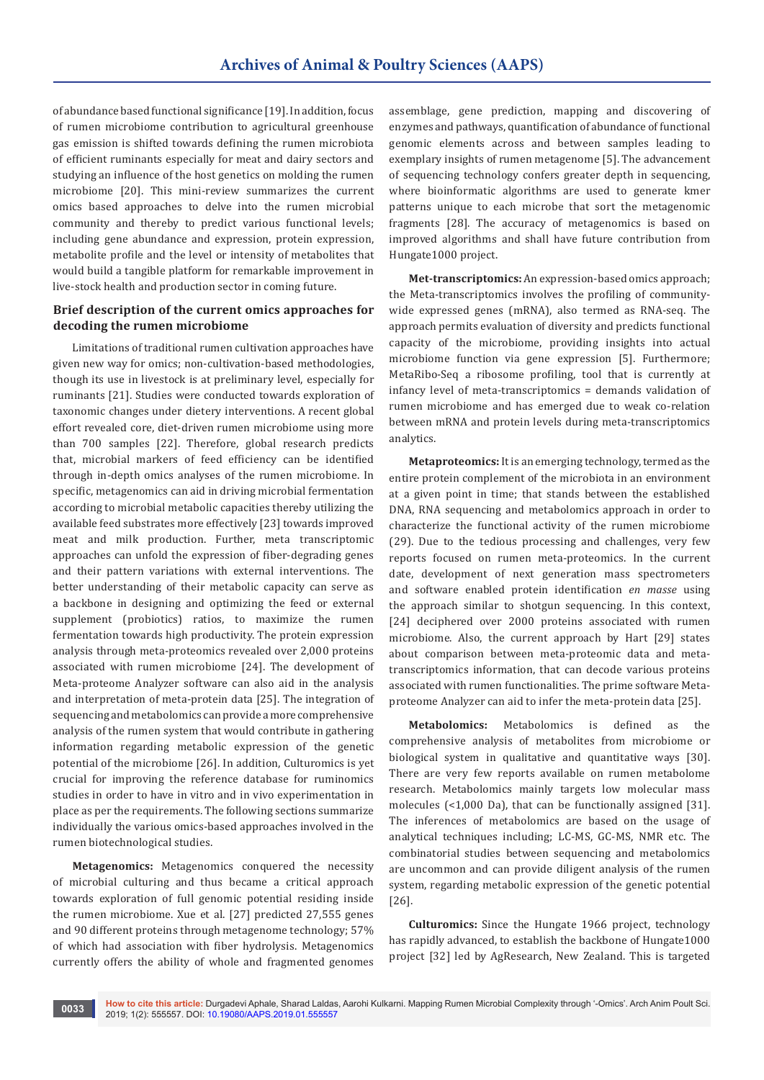of abundance based functional significance [19]. In addition, focus of rumen microbiome contribution to agricultural greenhouse gas emission is shifted towards defining the rumen microbiota of efficient ruminants especially for meat and dairy sectors and studying an influence of the host genetics on molding the rumen microbiome [20]. This mini-review summarizes the current omics based approaches to delve into the rumen microbial community and thereby to predict various functional levels; including gene abundance and expression, protein expression, metabolite profile and the level or intensity of metabolites that would build a tangible platform for remarkable improvement in live-stock health and production sector in coming future.

## **Brief description of the current omics approaches for decoding the rumen microbiome**

Limitations of traditional rumen cultivation approaches have given new way for omics; non-cultivation-based methodologies, though its use in livestock is at preliminary level, especially for ruminants [21]. Studies were conducted towards exploration of taxonomic changes under dietery interventions. A recent global effort revealed core, diet-driven rumen microbiome using more than 700 samples [22]. Therefore, global research predicts that, microbial markers of feed efficiency can be identified through in-depth omics analyses of the rumen microbiome. In specific, metagenomics can aid in driving microbial fermentation according to microbial metabolic capacities thereby utilizing the available feed substrates more effectively [23] towards improved meat and milk production. Further, meta transcriptomic approaches can unfold the expression of fiber-degrading genes and their pattern variations with external interventions. The better understanding of their metabolic capacity can serve as a backbone in designing and optimizing the feed or external supplement (probiotics) ratios, to maximize the rumen fermentation towards high productivity. The protein expression analysis through meta-proteomics revealed over 2,000 proteins associated with rumen microbiome [24]. The development of Meta-proteome Analyzer software can also aid in the analysis and interpretation of meta-protein data [25]. The integration of sequencing and metabolomics can provide a more comprehensive analysis of the rumen system that would contribute in gathering information regarding metabolic expression of the genetic potential of the microbiome [26]. In addition, Culturomics is yet crucial for improving the reference database for ruminomics studies in order to have in vitro and in vivo experimentation in place as per the requirements. The following sections summarize individually the various omics-based approaches involved in the rumen biotechnological studies.

**Metagenomics:** Metagenomics conquered the necessity of microbial culturing and thus became a critical approach towards exploration of full genomic potential residing inside the rumen microbiome. Xue et al. [27] predicted 27,555 genes and 90 different proteins through metagenome technology; 57% of which had association with fiber hydrolysis. Metagenomics currently offers the ability of whole and fragmented genomes

assemblage, gene prediction, mapping and discovering of enzymes and pathways, quantification of abundance of functional genomic elements across and between samples leading to exemplary insights of rumen metagenome [5]. The advancement of sequencing technology confers greater depth in sequencing, where bioinformatic algorithms are used to generate kmer patterns unique to each microbe that sort the metagenomic fragments [28]. The accuracy of metagenomics is based on improved algorithms and shall have future contribution from Hungate1000 project.

**Met-transcriptomics:** An expression-based omics approach; the Meta-transcriptomics involves the profiling of communitywide expressed genes (mRNA), also termed as RNA-seq. The approach permits evaluation of diversity and predicts functional capacity of the microbiome, providing insights into actual microbiome function via gene expression [5]. Furthermore; MetaRibo-Seq a ribosome profiling, tool that is currently at infancy level of meta-transcriptomics = demands validation of rumen microbiome and has emerged due to weak co-relation between mRNA and protein levels during meta-transcriptomics analytics.

**Metaproteomics:** It is an emerging technology, termed as the entire protein complement of the microbiota in an environment at a given point in time; that stands between the established DNA, RNA sequencing and metabolomics approach in order to characterize the functional activity of the rumen microbiome (29). Due to the tedious processing and challenges, very few reports focused on rumen meta-proteomics. In the current date, development of next generation mass spectrometers and software enabled protein identification *en masse* using the approach similar to shotgun sequencing. In this context, [24] deciphered over 2000 proteins associated with rumen microbiome. Also, the current approach by Hart [29] states about comparison between meta-proteomic data and metatranscriptomics information, that can decode various proteins associated with rumen functionalities. The prime software Metaproteome Analyzer can aid to infer the meta-protein data [25].

**Metabolomics:** Metabolomics is defined as the comprehensive analysis of metabolites from microbiome or biological system in qualitative and quantitative ways [30]. There are very few reports available on rumen metabolome research. Metabolomics mainly targets low molecular mass molecules (<1,000 Da), that can be functionally assigned [31]. The inferences of metabolomics are based on the usage of analytical techniques including; LC-MS, GC-MS, NMR etc. The combinatorial studies between sequencing and metabolomics are uncommon and can provide diligent analysis of the rumen system, regarding metabolic expression of the genetic potential [26].

**Culturomics:** Since the Hungate 1966 project, technology has rapidly advanced, to establish the backbone of Hungate1000 project [32] led by AgResearch, New Zealand. This is targeted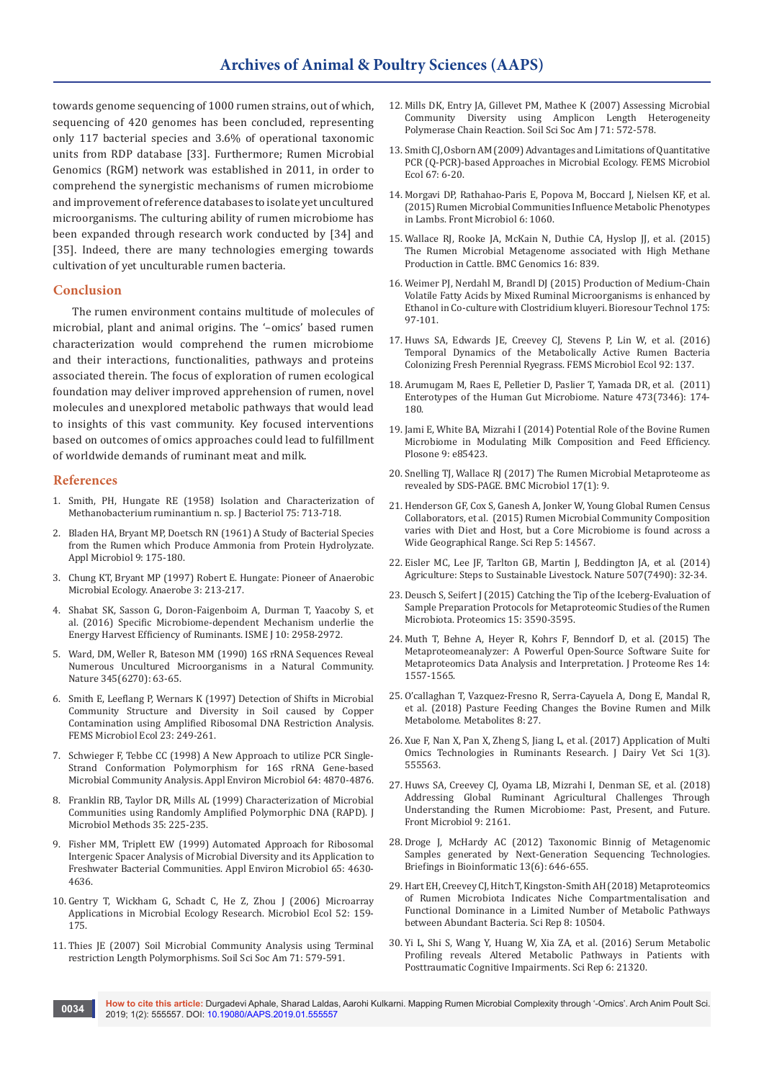towards genome sequencing of 1000 rumen strains, out of which, sequencing of 420 genomes has been concluded, representing only 117 bacterial species and 3.6% of operational taxonomic units from RDP database [33]. Furthermore; Rumen Microbial Genomics (RGM) network was established in 2011, in order to comprehend the synergistic mechanisms of rumen microbiome and improvement of reference databases to isolate yet uncultured microorganisms. The culturing ability of rumen microbiome has been expanded through research work conducted by [34] and [35]. Indeed, there are many technologies emerging towards cultivation of yet unculturable rumen bacteria.

#### **Conclusion**

The rumen environment contains multitude of molecules of microbial, plant and animal origins. The '–omics' based rumen characterization would comprehend the rumen microbiome and their interactions, functionalities, pathways and proteins associated therein. The focus of exploration of rumen ecological foundation may deliver improved apprehension of rumen, novel molecules and unexplored metabolic pathways that would lead to insights of this vast community. Key focused interventions based on outcomes of omics approaches could lead to fulfillment of worldwide demands of ruminant meat and milk.

#### **References**

- 1. [Smith, PH, Hungate RE \(1958\) Isolation and Characterization of](https://www.ncbi.nlm.nih.gov/pubmed/13549377)  [Methanobacterium ruminantium n. sp. J Bacteriol 75: 713-718.](https://www.ncbi.nlm.nih.gov/pubmed/13549377)
- 2. [Bladen HA, Bryant MP, Doetsch RN \(1961\) A Study of Bacterial Species](https://www.ncbi.nlm.nih.gov/pubmed/16349601)  [from the Rumen which Produce Ammonia from Protein Hydrolyzate.](https://www.ncbi.nlm.nih.gov/pubmed/16349601)  [Appl Microbiol 9: 175-180.](https://www.ncbi.nlm.nih.gov/pubmed/16349601)
- 3. [Chung KT, Bryant MP \(1997\) Robert E. Hungate: Pioneer of Anaerobic](https://www.sciencedirect.com/science/article/pii/S1075996497901098)  [Microbial Ecology. Anaerobe 3: 213-217](https://www.sciencedirect.com/science/article/pii/S1075996497901098).
- 4. [Shabat SK, Sasson G, Doron-Faigenboim A, Durman T, Yaacoby S, et](https://www.nature.com/articles/ismej201662)  [al. \(2016\) Specific Microbiome-dependent Mechanism underlie the](https://www.nature.com/articles/ismej201662)  [Energy Harvest Efficiency of Ruminants. ISME J 10: 2958-2972.](https://www.nature.com/articles/ismej201662)
- 5. [Ward, DM, Weller R, Bateson MM \(1990\) 16S rRNA Sequences Reveal](https://link.springer.com/article/10.1007/s12583-018-1206-5)  [Numerous Uncultured Microorganisms in a Natural Community.](https://link.springer.com/article/10.1007/s12583-018-1206-5)  [Nature 345\(6270\): 63-65](https://link.springer.com/article/10.1007/s12583-018-1206-5).
- 6. [Smith E, Leeflang P, Wernars K \(1997\) Detection of Shifts in Microbial](https://onlinelibrary.wiley.com/doi/full/10.1111/j.1574-6941.1997.tb00407.x)  [Community Structure and Diversity in Soil caused by Copper](https://onlinelibrary.wiley.com/doi/full/10.1111/j.1574-6941.1997.tb00407.x)  [Contamination using Amplified Ribosomal DNA Restriction Analysis.](https://onlinelibrary.wiley.com/doi/full/10.1111/j.1574-6941.1997.tb00407.x)  [FEMS Microbiol Ecol 23: 249-261.](https://onlinelibrary.wiley.com/doi/full/10.1111/j.1574-6941.1997.tb00407.x)
- 7. [Schwieger F, Tebbe CC \(1998\) A New Approach to utilize PCR Single-](http://citeseerx.ist.psu.edu/viewdoc/download?doi=10.1.1.334.795&rep=rep1&type=pdf)[Strand Conformation Polymorphism for 16S rRNA Gene-based](http://citeseerx.ist.psu.edu/viewdoc/download?doi=10.1.1.334.795&rep=rep1&type=pdf)  [Microbial Community Analysis. Appl Environ Microbiol 64: 4870-4876](http://citeseerx.ist.psu.edu/viewdoc/download?doi=10.1.1.334.795&rep=rep1&type=pdf).
- 8. Franklin RB, Taylor DR, Mills AL (1999) Characterization of Microbial Communities using Randomly Amplified Polymorphic DNA (RAPD). J Microbiol Methods 35: 225-235.
- 9. [Fisher MM, Triplett EW \(1999\) Automated Approach for Ribosomal](https://www.ncbi.nlm.nih.gov/pubmed/10508099)  [Intergenic Spacer Analysis of Microbial Diversity and its Application to](https://www.ncbi.nlm.nih.gov/pubmed/10508099)  [Freshwater Bacterial Communities. Appl Environ Microbiol 65: 4630-](https://www.ncbi.nlm.nih.gov/pubmed/10508099) [4636](https://www.ncbi.nlm.nih.gov/pubmed/10508099).
- 10. [Gentry T, Wickham G, Schadt C, He Z, Zhou J \(2006\) Microarray](https://www.ncbi.nlm.nih.gov/pubmed/16897303)  [Applications in Microbial Ecology Research. Microbiol Ecol 52: 159-](https://www.ncbi.nlm.nih.gov/pubmed/16897303) [175.](https://www.ncbi.nlm.nih.gov/pubmed/16897303)
- 11. [Thies JE \(2007\) Soil Microbial Community Analysis using Terminal](https://dl.sciencesocieties.org/publications/sssaj/abstracts/71/2/579?access=0&view=pdf)  [restriction Length Polymorphisms. Soil Sci Soc Am 71: 579-591.](https://dl.sciencesocieties.org/publications/sssaj/abstracts/71/2/579?access=0&view=pdf)
- 12. [Mills DK, Entry JA, Gillevet PM, Mathee K \(2007\) Assessing Microbial](https://dl.sciencesocieties.org/publications/sssaj/abstracts/71/2/572?access=0&view=pdf)  [Community Diversity using Amplicon Length Heterogeneity](https://dl.sciencesocieties.org/publications/sssaj/abstracts/71/2/572?access=0&view=pdf)  [Polymerase Chain Reaction. Soil Sci Soc Am J 71: 572-578.](https://dl.sciencesocieties.org/publications/sssaj/abstracts/71/2/572?access=0&view=pdf)
- 13. [Smith CJ, Osborn AM \(2009\) Advantages and Limitations of Quantitative](https://www.ncbi.nlm.nih.gov/pubmed/19120456)  [PCR \(Q-PCR\)-based Approaches in Microbial Ecology. FEMS Microbiol](https://www.ncbi.nlm.nih.gov/pubmed/19120456)  [Ecol 67: 6-20.](https://www.ncbi.nlm.nih.gov/pubmed/19120456)
- 14. [Morgavi DP, Rathahao-Paris E, Popova M, Boccard J, Nielsen KF, et al.](https://www.ncbi.nlm.nih.gov/pubmed/26528248)  [\(2015\) Rumen Microbial Communities Influence Metabolic Phenotypes](https://www.ncbi.nlm.nih.gov/pubmed/26528248)  [in Lambs. Front Microbiol 6: 1060](https://www.ncbi.nlm.nih.gov/pubmed/26528248).
- 15. [Wallace RJ, Rooke JA, McKain N, Duthie CA, Hyslop JJ, et al. \(2015\)](https://bmcgenomics.biomedcentral.com/articles/10.1186/s12864-015-2032-0)  [The Rumen Microbial Metagenome associated with High Methane](https://bmcgenomics.biomedcentral.com/articles/10.1186/s12864-015-2032-0)  [Production in Cattle. BMC Genomics 16: 839.](https://bmcgenomics.biomedcentral.com/articles/10.1186/s12864-015-2032-0)
- 16. [Weimer PJ, Nerdahl M, Brandl DJ \(2015\) Production of Medium-Chain](https://www.ncbi.nlm.nih.gov/pubmed/25459809)  [Volatile Fatty Acids by Mixed Ruminal Microorganisms is enhanced by](https://www.ncbi.nlm.nih.gov/pubmed/25459809)  [Ethanol in Co-culture with Clostridium kluyeri. Bioresour Technol 175:](https://www.ncbi.nlm.nih.gov/pubmed/25459809)  [97-101.](https://www.ncbi.nlm.nih.gov/pubmed/25459809)
- 17. [Huws SA, Edwards JE, Creevey CJ, Stevens P, Lin W, et al. \(2016\)](https://www.ncbi.nlm.nih.gov/pubmed/26542074)  [Temporal Dynamics of the Metabolically Active Rumen Bacteria](https://www.ncbi.nlm.nih.gov/pubmed/26542074)  [Colonizing Fresh Perennial Ryegrass. FEMS Microbiol Ecol 92: 137.](https://www.ncbi.nlm.nih.gov/pubmed/26542074)
- 18. [Arumugam M, Raes E, Pelletier D, Paslier T, Yamada DR, et al. \(2011\)](https://www.ncbi.nlm.nih.gov/pubmed/21508958)  [Enterotypes of the Human Gut Microbiome. Nature 473\(7346\): 174-](https://www.ncbi.nlm.nih.gov/pubmed/21508958) [180.](https://www.ncbi.nlm.nih.gov/pubmed/21508958)
- 19. Jami E, White BA, Mizrahi I (2014) Potential Role of the Bovine Rumen Microbiome in Modulating Milk Composition and Feed Efficiency. Plosone 9: e85423.
- 20. [Snelling TJ, Wallace RJ \(2017\) The Rumen Microbial Metaproteome as](https://bmcmicrobiol.biomedcentral.com/articles/10.1186/s12866-016-0917-y)  [revealed by SDS-PAGE. BMC Microbiol 17\(1\): 9](https://bmcmicrobiol.biomedcentral.com/articles/10.1186/s12866-016-0917-y).
- 21. [Henderson GF, Cox S, Ganesh A, Jonker W, Young Global Rumen Census](https://www.ncbi.nlm.nih.gov/pubmed/26449758)  [Collaborators, et al. \(2015\) Rumen Microbial Community Composition](https://www.ncbi.nlm.nih.gov/pubmed/26449758)  [varies with Diet and Host, but a Core Microbiome is found across a](https://www.ncbi.nlm.nih.gov/pubmed/26449758)  [Wide Geographical Range. Sci Rep 5: 14567.](https://www.ncbi.nlm.nih.gov/pubmed/26449758)
- 22. [Eisler MC, Lee JF, Tarlton GB, Martin J, Beddington JA, et al. \(2014\)](https://www.ncbi.nlm.nih.gov/pubmed/24605375)  [Agriculture: Steps to Sustainable Livestock. Nature 507\(7490\): 32-34.](https://www.ncbi.nlm.nih.gov/pubmed/24605375)
- 23. [Deusch S, Seifert J \(2015\) Catching the Tip of the Iceberg-Evaluation of](https://www.ncbi.nlm.nih.gov/pubmed/25765363)  [Sample Preparation Protocols for Metaproteomic Studies of the Rumen](https://www.ncbi.nlm.nih.gov/pubmed/25765363)  [Microbiota. Proteomics 15: 3590-3595](https://www.ncbi.nlm.nih.gov/pubmed/25765363).
- 24. [Muth T, Behne A, Heyer R, Kohrs F, Benndorf D, et al. \(2015\) The](https://www.ncbi.nlm.nih.gov/pubmed/25660940)  [Metaproteomeanalyzer: A Powerful Open-Source Software Suite for](https://www.ncbi.nlm.nih.gov/pubmed/25660940)  [Metaproteomics Data Analysis and Interpretation. J Proteome Res 14:](https://www.ncbi.nlm.nih.gov/pubmed/25660940)  [1557-1565.](https://www.ncbi.nlm.nih.gov/pubmed/25660940)
- 25. [O'callaghan T, Vazquez-Fresno R, Serra-Cayuela A, Dong E, Mandal R,](https://www.mdpi.com/2218-1989/8/2/27)  [et al. \(2018\) Pasture Feeding Changes the Bovine Rumen and Milk](https://www.mdpi.com/2218-1989/8/2/27)  [Metabolome. Metabolites 8: 27.](https://www.mdpi.com/2218-1989/8/2/27)
- 26. Xue F, Nan X, Pan X, Zheng S, Jiang L, et al. (2017) Application of Multi Omics Technologies in Ruminants Research. J Dairy Vet Sci 1(3). 555563.
- 27. [Huws SA, Creevey CJ, Oyama LB, Mizrahi I, Denman SE, et al. \(2018\)](https://www.ncbi.nlm.nih.gov/pubmed/30319557)  [Addressing Global Ruminant Agricultural Challenges Through](https://www.ncbi.nlm.nih.gov/pubmed/30319557)  [Understanding the Rumen Microbiome: Past, Present, and Future.](https://www.ncbi.nlm.nih.gov/pubmed/30319557)  [Front Microbiol 9: 2161.](https://www.ncbi.nlm.nih.gov/pubmed/30319557)
- 28. [Droge J, McHardy AC \(2012\) Taxonomic Binnig of Metagenomic](https://academic.oup.com/bib/article/13/6/646/193104)  [Samples generated by Next-Generation Sequencing Technologies.](https://academic.oup.com/bib/article/13/6/646/193104)  [Briefings in Bioinformatic 13\(6\): 646-655.](https://academic.oup.com/bib/article/13/6/646/193104)
- 29. [Hart EH, Creevey CJ, Hitch T, Kingston-Smith AH \(2018\) Metaproteomics](https://www.nature.com/articles/s41598-018-28827-7)  [of Rumen Microbiota Indicates Niche Compartmentalisation and](https://www.nature.com/articles/s41598-018-28827-7)  [Functional Dominance in a Limited Number of Metabolic Pathways](https://www.nature.com/articles/s41598-018-28827-7)  [between Abundant Bacteria. Sci Rep 8: 10504.](https://www.nature.com/articles/s41598-018-28827-7)
- 30. [Yi L, Shi S, Wang Y, Huang W, Xia ZA, et al. \(2016\) Serum Metabolic](https://www.nature.com/articles/srep21320)  [Profiling reveals Altered Metabolic Pathways in Patients with](https://www.nature.com/articles/srep21320)  [Posttraumatic Cognitive Impairments. Sci Rep 6: 21320.](https://www.nature.com/articles/srep21320)